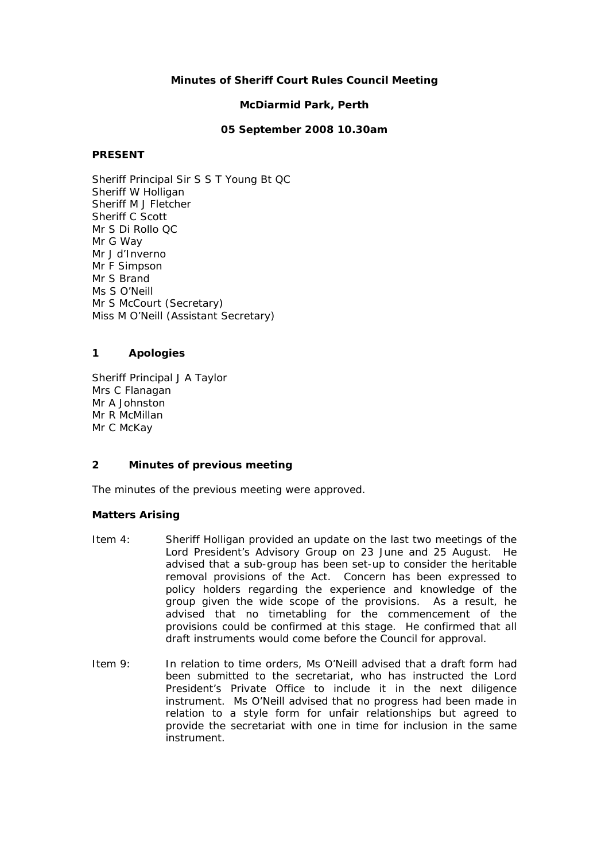## **Minutes of Sheriff Court Rules Council Meeting**

#### **McDiarmid Park, Perth**

## **05 September 2008 10.30am**

#### **PRESENT**

Sheriff Principal Sir S S T Young Bt QC Sheriff W Holligan Sheriff M J Fletcher Sheriff C Scott Mr S Di Rollo QC Mr G Way Mr J d'Inverno Mr F Simpson Mr S Brand Ms S O'Neill Mr S McCourt (Secretary) Miss M O'Neill (Assistant Secretary)

## **1 Apologies**

Sheriff Principal J A Taylor Mrs C Flanagan Mr A Johnston Mr R McMillan Mr C McKav

#### **2 Minutes of previous meeting**

The minutes of the previous meeting were approved.

#### **Matters Arising**

- Item 4: Sheriff Holligan provided an update on the last two meetings of the Lord President's Advisory Group on 23 June and 25 August. He advised that a sub-group has been set-up to consider the heritable removal provisions of the Act. Concern has been expressed to policy holders regarding the experience and knowledge of the group given the wide scope of the provisions. As a result, he advised that no timetabling for the commencement of the provisions could be confirmed at this stage. He confirmed that all draft instruments would come before the Council for approval.
- Item 9: In relation to time orders, Ms O'Neill advised that a draft form had been submitted to the secretariat, who has instructed the Lord President's Private Office to include it in the next diligence instrument. Ms O'Neill advised that no progress had been made in relation to a style form for unfair relationships but agreed to provide the secretariat with one in time for inclusion in the same instrument.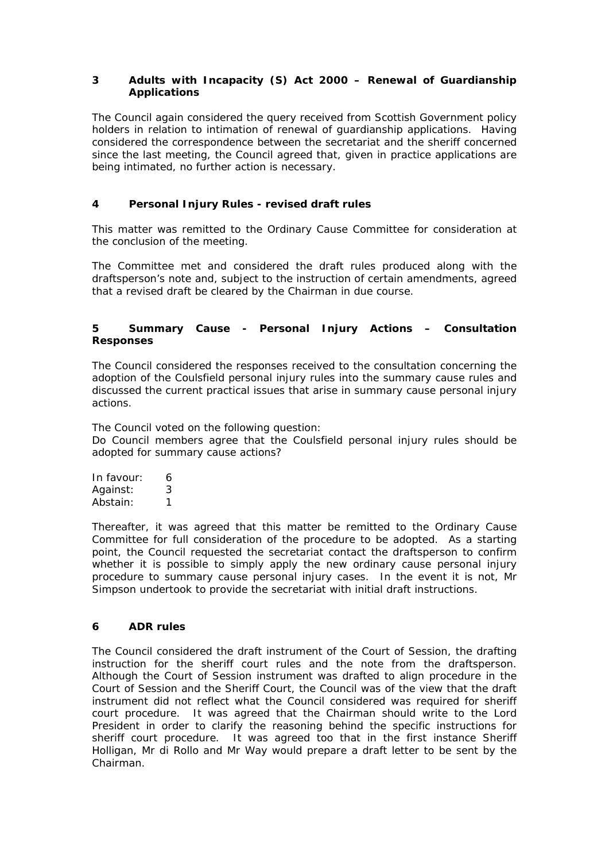## **3 Adults with Incapacity (S) Act 2000 – Renewal of Guardianship Applications**

The Council again considered the query received from Scottish Government policy holders in relation to intimation of renewal of guardianship applications. Having considered the correspondence between the secretariat and the sheriff concerned since the last meeting, the Council agreed that, given in practice applications are being intimated, no further action is necessary.

# **4 Personal Injury Rules - revised draft rules**

This matter was remitted to the Ordinary Cause Committee for consideration at the conclusion of the meeting.

The Committee met and considered the draft rules produced along with the draftsperson's note and, subject to the instruction of certain amendments, agreed that a revised draft be cleared by the Chairman in due course.

## **5 Summary Cause - Personal Injury Actions – Consultation Responses**

The Council considered the responses received to the consultation concerning the adoption of the Coulsfield personal injury rules into the summary cause rules and discussed the current practical issues that arise in summary cause personal injury actions.

The Council voted on the following question: *Do Council members agree that the Coulsfield personal injury rules should be adopted for summary cause actions?* 

In favour: 6 Against: 3 Abstain: 1

Thereafter, it was agreed that this matter be remitted to the Ordinary Cause Committee for full consideration of the procedure to be adopted. As a starting point, the Council requested the secretariat contact the draftsperson to confirm whether it is possible to simply apply the new ordinary cause personal injury procedure to summary cause personal injury cases. In the event it is not, Mr Simpson undertook to provide the secretariat with initial draft instructions.

## **6 ADR rules**

The Council considered the draft instrument of the Court of Session, the drafting instruction for the sheriff court rules and the note from the draftsperson. Although the Court of Session instrument was drafted to align procedure in the Court of Session and the Sheriff Court, the Council was of the view that the draft instrument did not reflect what the Council considered was required for sheriff court procedure. It was agreed that the Chairman should write to the Lord President in order to clarify the reasoning behind the specific instructions for sheriff court procedure. It was agreed too that in the first instance Sheriff Holligan, Mr di Rollo and Mr Way would prepare a draft letter to be sent by the Chairman.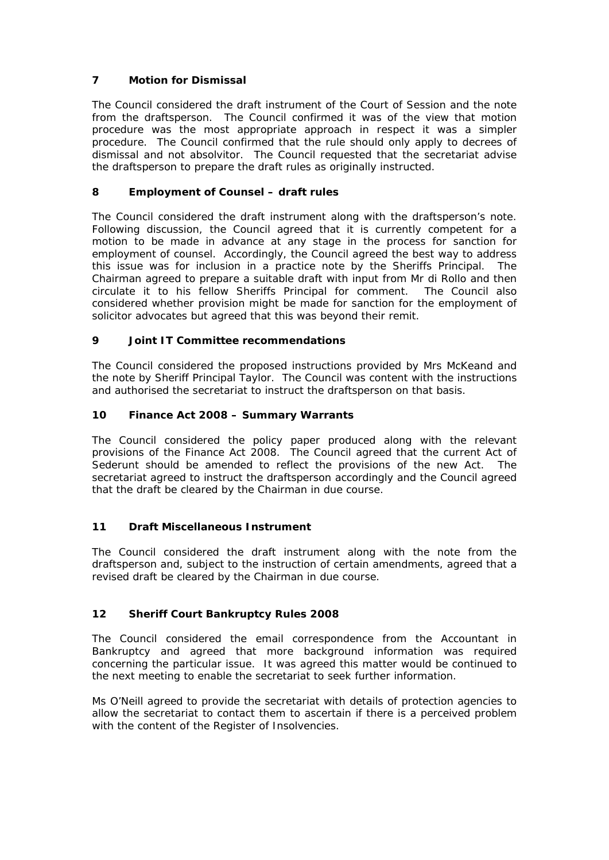# **7 Motion for Dismissal**

The Council considered the draft instrument of the Court of Session and the note from the draftsperson. The Council confirmed it was of the view that motion procedure was the most appropriate approach in respect it was a simpler procedure. The Council confirmed that the rule should only apply to decrees of dismissal and not absolvitor. The Council requested that the secretariat advise the draftsperson to prepare the draft rules as originally instructed.

# **8 Employment of Counsel – draft rules**

The Council considered the draft instrument along with the draftsperson's note. Following discussion, the Council agreed that it is currently competent for a motion to be made in advance at any stage in the process for sanction for employment of counsel. Accordingly, the Council agreed the best way to address this issue was for inclusion in a practice note by the Sheriffs Principal. Chairman agreed to prepare a suitable draft with input from Mr di Rollo and then circulate it to his fellow Sheriffs Principal for comment. The Council also considered whether provision might be made for sanction for the employment of solicitor advocates but agreed that this was beyond their remit.

## **9 Joint IT Committee recommendations**

The Council considered the proposed instructions provided by Mrs McKeand and the note by Sheriff Principal Taylor. The Council was content with the instructions and authorised the secretariat to instruct the draftsperson on that basis.

## **10 Finance Act 2008 – Summary Warrants**

The Council considered the policy paper produced along with the relevant provisions of the Finance Act 2008. The Council agreed that the current Act of Sederunt should be amended to reflect the provisions of the new Act. The secretariat agreed to instruct the draftsperson accordingly and the Council agreed that the draft be cleared by the Chairman in due course.

## **11 Draft Miscellaneous Instrument**

The Council considered the draft instrument along with the note from the draftsperson and, subject to the instruction of certain amendments, agreed that a revised draft be cleared by the Chairman in due course.

## **12 Sheriff Court Bankruptcy Rules 2008**

The Council considered the email correspondence from the Accountant in Bankruptcy and agreed that more background information was required concerning the particular issue. It was agreed this matter would be continued to the next meeting to enable the secretariat to seek further information.

Ms O'Neill agreed to provide the secretariat with details of protection agencies to allow the secretariat to contact them to ascertain if there is a perceived problem with the content of the Register of Insolvencies.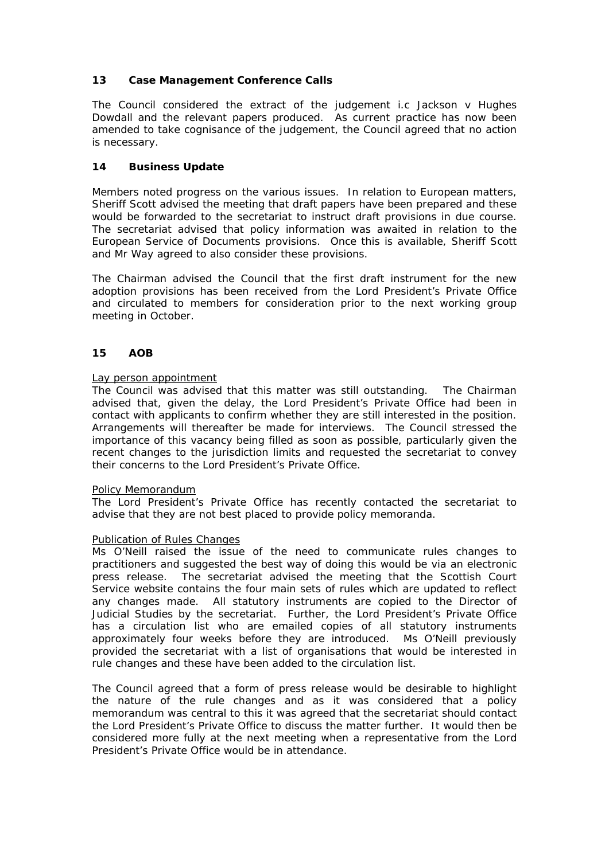## **13 Case Management Conference Calls**

The Council considered the extract of the judgement i.c Jackson v Hughes Dowdall and the relevant papers produced. As current practice has now been amended to take cognisance of the judgement, the Council agreed that no action is necessary.

## **14 Business Update**

Members noted progress on the various issues. In relation to European matters, Sheriff Scott advised the meeting that draft papers have been prepared and these would be forwarded to the secretariat to instruct draft provisions in due course. The secretariat advised that policy information was awaited in relation to the European Service of Documents provisions. Once this is available, Sheriff Scott and Mr Way agreed to also consider these provisions.

The Chairman advised the Council that the first draft instrument for the new adoption provisions has been received from the Lord President's Private Office and circulated to members for consideration prior to the next working group meeting in October.

#### **15 AOB**

#### Lay person appointment

The Council was advised that this matter was still outstanding. The Chairman advised that, given the delay, the Lord President's Private Office had been in contact with applicants to confirm whether they are still interested in the position. Arrangements will thereafter be made for interviews. The Council stressed the importance of this vacancy being filled as soon as possible, particularly given the recent changes to the jurisdiction limits and requested the secretariat to convey their concerns to the Lord President's Private Office.

#### Policy Memorandum

The Lord President's Private Office has recently contacted the secretariat to advise that they are not best placed to provide policy memoranda.

#### Publication of Rules Changes

Ms O'Neill raised the issue of the need to communicate rules changes to practitioners and suggested the best way of doing this would be via an electronic press release. The secretariat advised the meeting that the Scottish Court Service website contains the four main sets of rules which are updated to reflect any changes made. All statutory instruments are copied to the Director of Judicial Studies by the secretariat. Further, the Lord President's Private Office has a circulation list who are emailed copies of all statutory instruments approximately four weeks before they are introduced. Ms O'Neill previously provided the secretariat with a list of organisations that would be interested in rule changes and these have been added to the circulation list.

The Council agreed that a form of press release would be desirable to highlight the nature of the rule changes and as it was considered that a policy memorandum was central to this it was agreed that the secretariat should contact the Lord President's Private Office to discuss the matter further. It would then be considered more fully at the next meeting when a representative from the Lord President's Private Office would be in attendance.